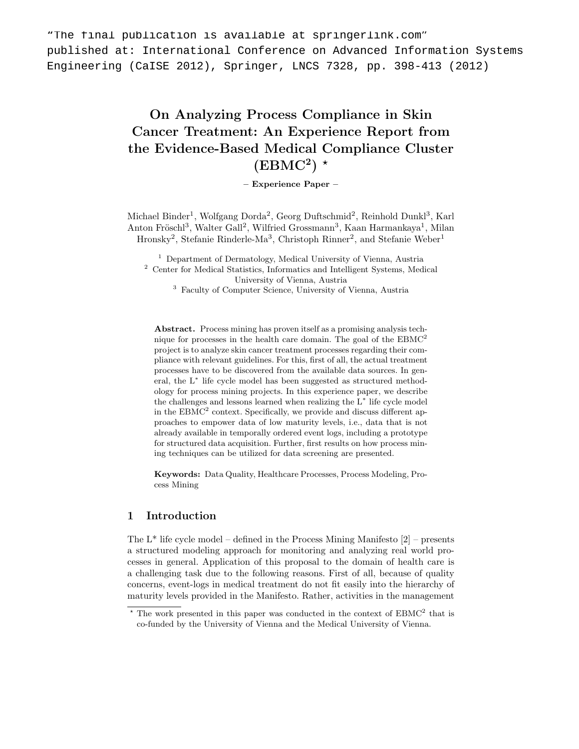"The final publication is available at springerlink.com" published at: International Conference on Advanced Information Systems Engineering (CaISE 2012), Springer, LNCS 7328, pp. 398-413 (2012)

# On Analyzing Process Compliance in Skin Cancer Treatment: An Experience Report from the Evidence-Based Medical Compliance Cluster  $(EBMC^2)$ <sup>\*</sup>

– Experience Paper –

Michael Binder<sup>1</sup>, Wolfgang Dorda<sup>2</sup>, Georg Duftschmid<sup>2</sup>, Reinhold Dunkl<sup>3</sup>, Karl Anton Fröschl<sup>3</sup>, Walter Gall<sup>2</sup>, Wilfried Grossmann<sup>3</sup>, Kaan Harmankaya<sup>1</sup>, Milan Hronsky<sup>2</sup>, Stefanie Rinderle-Ma<sup>3</sup>, Christoph Rinner<sup>2</sup>, and Stefanie Weber<sup>1</sup>

<sup>1</sup> Department of Dermatology, Medical University of Vienna, Austria <sup>2</sup> Center for Medical Statistics, Informatics and Intelligent Systems, Medical University of Vienna, Austria

<sup>3</sup> Faculty of Computer Science, University of Vienna, Austria

Abstract. Process mining has proven itself as a promising analysis technique for processes in the health care domain. The goal of the  $EBMC<sup>2</sup>$ project is to analyze skin cancer treatment processes regarding their compliance with relevant guidelines. For this, first of all, the actual treatment processes have to be discovered from the available data sources. In general, the L<sup>∗</sup> life cycle model has been suggested as structured methodology for process mining projects. In this experience paper, we describe the challenges and lessons learned when realizing the L<sup>∗</sup> life cycle model in the  $EBMC<sup>2</sup>$  context. Specifically, we provide and discuss different approaches to empower data of low maturity levels, i.e., data that is not already available in temporally ordered event logs, including a prototype for structured data acquisition. Further, first results on how process mining techniques can be utilized for data screening are presented.

Keywords: Data Quality, Healthcare Processes, Process Modeling, Process Mining

# 1 Introduction

The  $L^*$  life cycle model – defined in the Process Mining Manifesto  $[2]$  – presents a structured modeling approach for monitoring and analyzing real world processes in general. Application of this proposal to the domain of health care is a challenging task due to the following reasons. First of all, because of quality concerns, event-logs in medical treatment do not fit easily into the hierarchy of maturity levels provided in the Manifesto. Rather, activities in the management

 $*$  The work presented in this paper was conducted in the context of  $EBMC<sup>2</sup>$  that is co-funded by the University of Vienna and the Medical University of Vienna.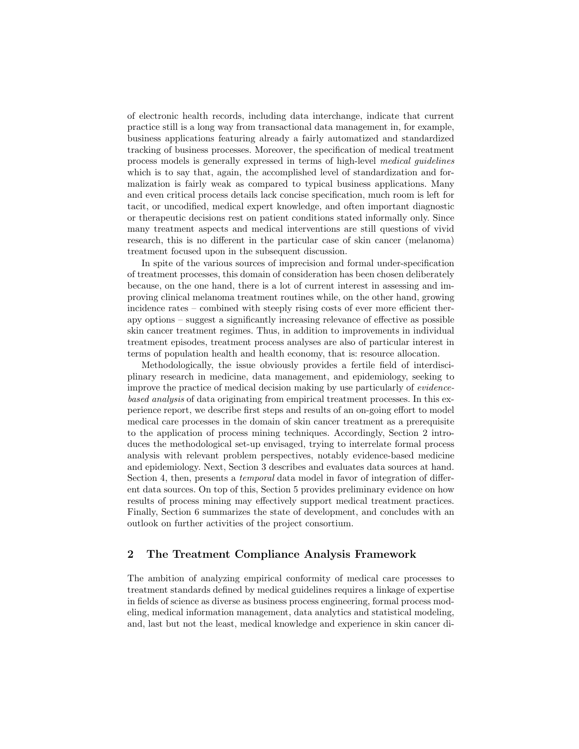of electronic health records, including data interchange, indicate that current practice still is a long way from transactional data management in, for example, business applications featuring already a fairly automatized and standardized tracking of business processes. Moreover, the specification of medical treatment process models is generally expressed in terms of high-level medical guidelines which is to say that, again, the accomplished level of standardization and formalization is fairly weak as compared to typical business applications. Many and even critical process details lack concise specification, much room is left for tacit, or uncodified, medical expert knowledge, and often important diagnostic or therapeutic decisions rest on patient conditions stated informally only. Since many treatment aspects and medical interventions are still questions of vivid research, this is no different in the particular case of skin cancer (melanoma) treatment focused upon in the subsequent discussion.

In spite of the various sources of imprecision and formal under-specification of treatment processes, this domain of consideration has been chosen deliberately because, on the one hand, there is a lot of current interest in assessing and improving clinical melanoma treatment routines while, on the other hand, growing incidence rates – combined with steeply rising costs of ever more efficient therapy options – suggest a significantly increasing relevance of effective as possible skin cancer treatment regimes. Thus, in addition to improvements in individual treatment episodes, treatment process analyses are also of particular interest in terms of population health and health economy, that is: resource allocation.

Methodologically, the issue obviously provides a fertile field of interdisciplinary research in medicine, data management, and epidemiology, seeking to improve the practice of medical decision making by use particularly of evidencebased analysis of data originating from empirical treatment processes. In this experience report, we describe first steps and results of an on-going effort to model medical care processes in the domain of skin cancer treatment as a prerequisite to the application of process mining techniques. Accordingly, Section [2](#page-1-0) introduces the methodological set-up envisaged, trying to interrelate formal process analysis with relevant problem perspectives, notably evidence-based medicine and epidemiology. Next, Section [3](#page-6-0) describes and evaluates data sources at hand. Section [4,](#page-8-0) then, presents a *temporal* data model in favor of integration of different data sources. On top of this, Section [5](#page-12-0) provides preliminary evidence on how results of process mining may effectively support medical treatment practices. Finally, Section [6](#page-14-1) summarizes the state of development, and concludes with an outlook on further activities of the project consortium.

# <span id="page-1-0"></span>2 The Treatment Compliance Analysis Framework

The ambition of analyzing empirical conformity of medical care processes to treatment standards defined by medical guidelines requires a linkage of expertise in fields of science as diverse as business process engineering, formal process modeling, medical information management, data analytics and statistical modeling, and, last but not the least, medical knowledge and experience in skin cancer di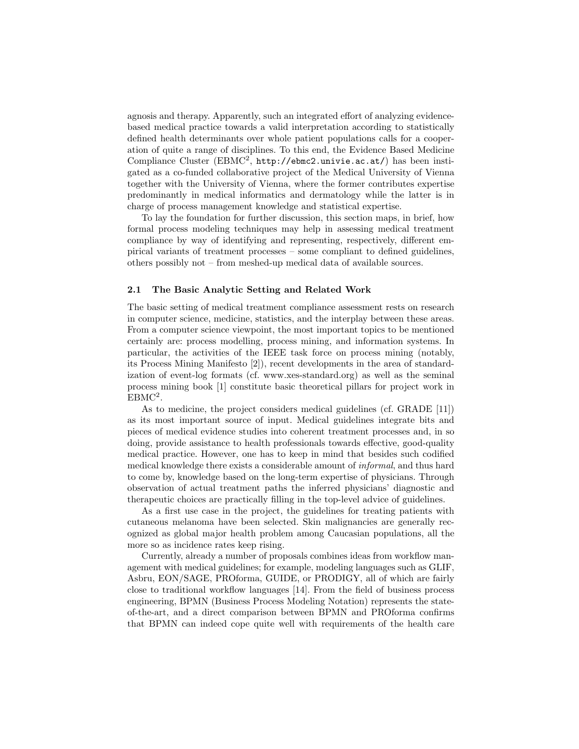agnosis and therapy. Apparently, such an integrated effort of analyzing evidencebased medical practice towards a valid interpretation according to statistically defined health determinants over whole patient populations calls for a cooperation of quite a range of disciplines. To this end, the Evidence Based Medicine Compliance Cluster (EBMC<sup>2</sup>, <http://ebmc2.univie.ac.at/>) has been instigated as a co-funded collaborative project of the Medical University of Vienna together with the University of Vienna, where the former contributes expertise predominantly in medical informatics and dermatology while the latter is in charge of process management knowledge and statistical expertise.

To lay the foundation for further discussion, this section maps, in brief, how formal process modeling techniques may help in assessing medical treatment compliance by way of identifying and representing, respectively, different empirical variants of treatment processes – some compliant to defined guidelines, others possibly not – from meshed-up medical data of available sources.

### 2.1 The Basic Analytic Setting and Related Work

The basic setting of medical treatment compliance assessment rests on research in computer science, medicine, statistics, and the interplay between these areas. From a computer science viewpoint, the most important topics to be mentioned certainly are: process modelling, process mining, and information systems. In particular, the activities of the IEEE task force on process mining (notably, its Process Mining Manifesto [\[2\]](#page-14-0)), recent developments in the area of standardization of event-log formats (cf. www.xes-standard.org) as well as the seminal process mining book [\[1\]](#page-14-2) constitute basic theoretical pillars for project work in  $EBMC<sup>2</sup>$ .

As to medicine, the project considers medical guidelines (cf. GRADE [\[11\]](#page-15-0)) as its most important source of input. Medical guidelines integrate bits and pieces of medical evidence studies into coherent treatment processes and, in so doing, provide assistance to health professionals towards effective, good-quality medical practice. However, one has to keep in mind that besides such codified medical knowledge there exists a considerable amount of informal, and thus hard to come by, knowledge based on the long-term expertise of physicians. Through observation of actual treatment paths the inferred physicians' diagnostic and therapeutic choices are practically filling in the top-level advice of guidelines.

As a first use case in the project, the guidelines for treating patients with cutaneous melanoma have been selected. Skin malignancies are generally recognized as global major health problem among Caucasian populations, all the more so as incidence rates keep rising.

Currently, already a number of proposals combines ideas from workflow management with medical guidelines; for example, modeling languages such as GLIF, Asbru, EON/SAGE, PROforma, GUIDE, or PRODIGY, all of which are fairly close to traditional workflow languages [\[14\]](#page-15-1). From the field of business process engineering, BPMN (Business Process Modeling Notation) represents the stateof-the-art, and a direct comparison between BPMN and PROforma confirms that BPMN can indeed cope quite well with requirements of the health care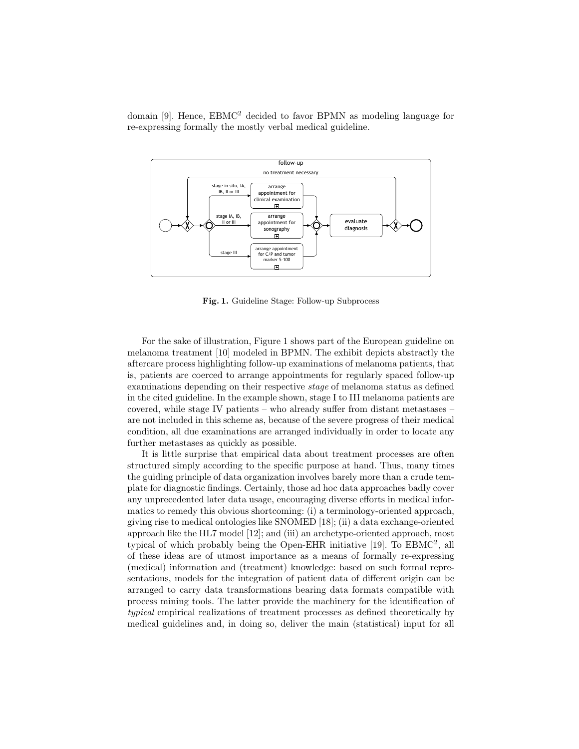domain [\[9\]](#page-15-2). Hence, EBMC<sup>2</sup> decided to favor BPMN as modeling language for re-expressing formally the mostly verbal medical guideline.



<span id="page-3-0"></span>Fig. 1. Guideline Stage: Follow-up Subprocess

For the sake of illustration, Figure [1](#page-3-0) shows part of the European guideline on melanoma treatment [\[10\]](#page-15-3) modeled in BPMN. The exhibit depicts abstractly the aftercare process highlighting follow-up examinations of melanoma patients, that is, patients are coerced to arrange appointments for regularly spaced follow-up examinations depending on their respective stage of melanoma status as defined in the cited guideline. In the example shown, stage I to III melanoma patients are covered, while stage IV patients – who already suffer from distant metastases – are not included in this scheme as, because of the severe progress of their medical condition, all due examinations are arranged individually in order to locate any further metastases as quickly as possible.

It is little surprise that empirical data about treatment processes are often structured simply according to the specific purpose at hand. Thus, many times the guiding principle of data organization involves barely more than a crude template for diagnostic findings. Certainly, those ad hoc data approaches badly cover any unprecedented later data usage, encouraging diverse efforts in medical informatics to remedy this obvious shortcoming: (i) a terminology-oriented approach, giving rise to medical ontologies like SNOMED [\[18\]](#page-15-4); (ii) a data exchange-oriented approach like the HL7 model [\[12\]](#page-15-5); and (iii) an archetype-oriented approach, most typical of which probably being the Open-EHR initiative [\[19\]](#page-15-6). To  $EBMC<sup>2</sup>$ , all of these ideas are of utmost importance as a means of formally re-expressing (medical) information and (treatment) knowledge: based on such formal representations, models for the integration of patient data of different origin can be arranged to carry data transformations bearing data formats compatible with process mining tools. The latter provide the machinery for the identification of typical empirical realizations of treatment processes as defined theoretically by medical guidelines and, in doing so, deliver the main (statistical) input for all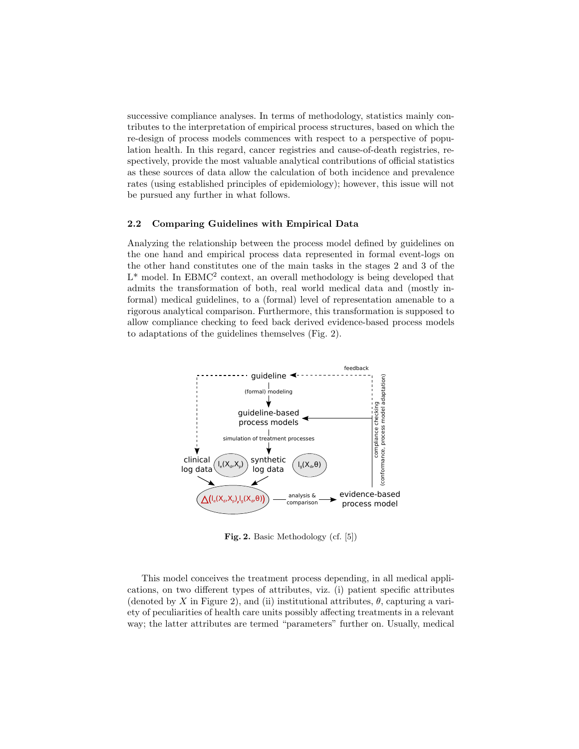successive compliance analyses. In terms of methodology, statistics mainly contributes to the interpretation of empirical process structures, based on which the re-design of process models commences with respect to a perspective of population health. In this regard, cancer registries and cause-of-death registries, respectively, provide the most valuable analytical contributions of official statistics as these sources of data allow the calculation of both incidence and prevalence rates (using established principles of epidemiology); however, this issue will not be pursued any further in what follows.

### 2.2 Comparing Guidelines with Empirical Data

Analyzing the relationship between the process model defined by guidelines on the one hand and empirical process data represented in formal event-logs on the other hand constitutes one of the main tasks in the stages 2 and 3 of the L<sup>\*</sup> model. In EBMC<sup>2</sup> context, an overall methodology is being developed that admits the transformation of both, real world medical data and (mostly informal) medical guidelines, to a (formal) level of representation amenable to a rigorous analytical comparison. Furthermore, this transformation is supposed to allow compliance checking to feed back derived evidence-based process models to adaptations of the guidelines themselves (Fig. [2\)](#page-4-0).



<span id="page-4-0"></span>Fig. 2. Basic Methodology (cf. [\[5\]](#page-15-7))

This model conceives the treatment process depending, in all medical applications, on two different types of attributes, viz. (i) patient specific attributes (denoted by X in Figure 2), and (ii) institutional attributes,  $\theta$ , capturing a variety of peculiarities of health care units possibly affecting treatments in a relevant way; the latter attributes are termed "parameters" further on. Usually, medical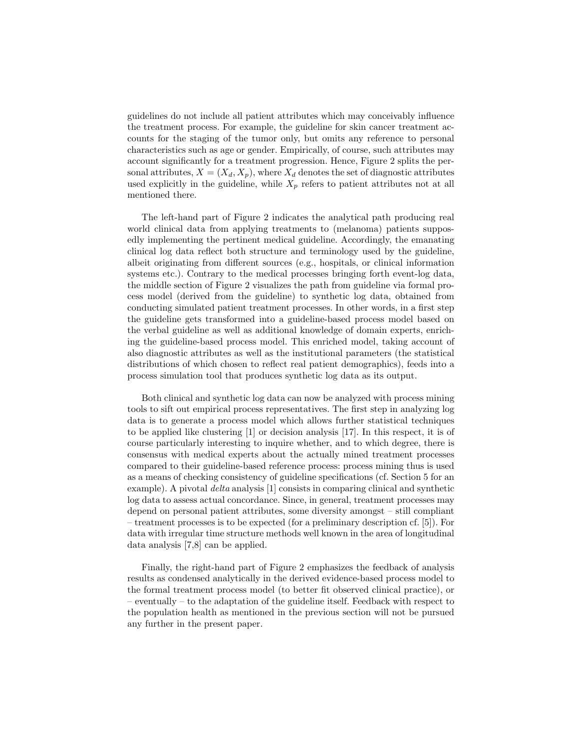guidelines do not include all patient attributes which may conceivably influence the treatment process. For example, the guideline for skin cancer treatment accounts for the staging of the tumor only, but omits any reference to personal characteristics such as age or gender. Empirically, of course, such attributes may account significantly for a treatment progression. Hence, Figure 2 splits the personal attributes,  $X = (X_d, X_p)$ , where  $X_d$  denotes the set of diagnostic attributes used explicitly in the guideline, while  $X_p$  refers to patient attributes not at all mentioned there.

The left-hand part of Figure 2 indicates the analytical path producing real world clinical data from applying treatments to (melanoma) patients supposedly implementing the pertinent medical guideline. Accordingly, the emanating clinical log data reflect both structure and terminology used by the guideline, albeit originating from different sources (e.g., hospitals, or clinical information systems etc.). Contrary to the medical processes bringing forth event-log data, the middle section of Figure 2 visualizes the path from guideline via formal process model (derived from the guideline) to synthetic log data, obtained from conducting simulated patient treatment processes. In other words, in a first step the guideline gets transformed into a guideline-based process model based on the verbal guideline as well as additional knowledge of domain experts, enriching the guideline-based process model. This enriched model, taking account of also diagnostic attributes as well as the institutional parameters (the statistical distributions of which chosen to reflect real patient demographics), feeds into a process simulation tool that produces synthetic log data as its output.

Both clinical and synthetic log data can now be analyzed with process mining tools to sift out empirical process representatives. The first step in analyzing log data is to generate a process model which allows further statistical techniques to be applied like clustering [\[1\]](#page-14-2) or decision analysis [\[17\]](#page-15-8). In this respect, it is of course particularly interesting to inquire whether, and to which degree, there is consensus with medical experts about the actually mined treatment processes compared to their guideline-based reference process: process mining thus is used as a means of checking consistency of guideline specifications (cf. Section [5](#page-12-0) for an example). A pivotal delta analysis [\[1\]](#page-14-2) consists in comparing clinical and synthetic log data to assess actual concordance. Since, in general, treatment processes may depend on personal patient attributes, some diversity amongst – still compliant – treatment processes is to be expected (for a preliminary description cf. [\[5\]](#page-15-7)). For data with irregular time structure methods well known in the area of longitudinal data analysis [\[7](#page-15-9)[,8\]](#page-15-10) can be applied.

Finally, the right-hand part of Figure 2 emphasizes the feedback of analysis results as condensed analytically in the derived evidence-based process model to the formal treatment process model (to better fit observed clinical practice), or – eventually – to the adaptation of the guideline itself. Feedback with respect to the population health as mentioned in the previous section will not be pursued any further in the present paper.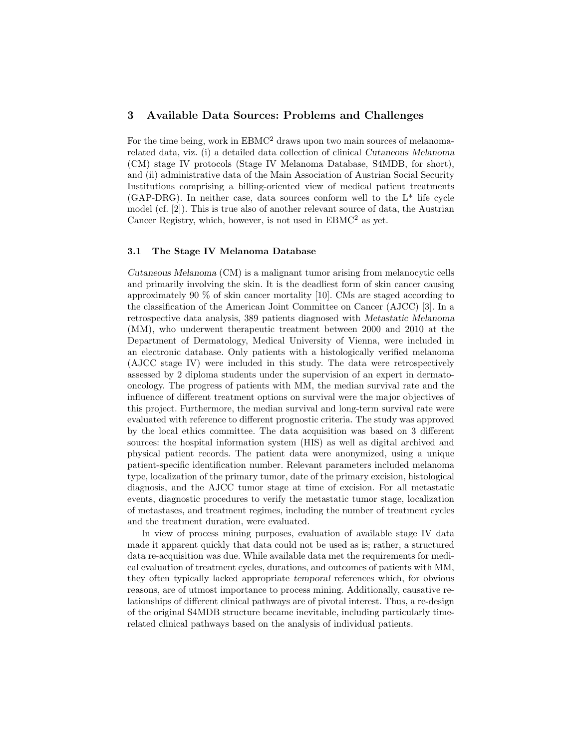# <span id="page-6-0"></span>3 Available Data Sources: Problems and Challenges

For the time being, work in  $EBMC<sup>2</sup>$  draws upon two main sources of melanomarelated data, viz. (i) a detailed data collection of clinical Cutaneous Melanoma (CM) stage IV protocols (Stage IV Melanoma Database, S4MDB, for short), and (ii) administrative data of the Main Association of Austrian Social Security Institutions comprising a billing-oriented view of medical patient treatments (GAP-DRG). In neither case, data sources conform well to the  $L^*$  life cycle model (cf. [\[2\]](#page-14-0)). This is true also of another relevant source of data, the Austrian Cancer Registry, which, however, is not used in  $EBMC<sup>2</sup>$  as yet.

#### <span id="page-6-1"></span>3.1 The Stage IV Melanoma Database

Cutaneous Melanoma (CM) is a malignant tumor arising from melanocytic cells and primarily involving the skin. It is the deadliest form of skin cancer causing approximately 90 % of skin cancer mortality [\[10\]](#page-15-3). CMs are staged according to the classification of the American Joint Committee on Cancer (AJCC) [\[3\]](#page-14-3). In a retrospective data analysis, 389 patients diagnosed with Metastatic Melanoma (MM), who underwent therapeutic treatment between 2000 and 2010 at the Department of Dermatology, Medical University of Vienna, were included in an electronic database. Only patients with a histologically verified melanoma (AJCC stage IV) were included in this study. The data were retrospectively assessed by 2 diploma students under the supervision of an expert in dermatooncology. The progress of patients with MM, the median survival rate and the influence of different treatment options on survival were the major objectives of this project. Furthermore, the median survival and long-term survival rate were evaluated with reference to different prognostic criteria. The study was approved by the local ethics committee. The data acquisition was based on 3 different sources: the hospital information system (HIS) as well as digital archived and physical patient records. The patient data were anonymized, using a unique patient-specific identification number. Relevant parameters included melanoma type, localization of the primary tumor, date of the primary excision, histological diagnosis, and the AJCC tumor stage at time of excision. For all metastatic events, diagnostic procedures to verify the metastatic tumor stage, localization of metastases, and treatment regimes, including the number of treatment cycles and the treatment duration, were evaluated.

In view of process mining purposes, evaluation of available stage IV data made it apparent quickly that data could not be used as is; rather, a structured data re-acquisition was due. While available data met the requirements for medical evaluation of treatment cycles, durations, and outcomes of patients with MM, they often typically lacked appropriate temporal references which, for obvious reasons, are of utmost importance to process mining. Additionally, causative relationships of different clinical pathways are of pivotal interest. Thus, a re-design of the original S4MDB structure became inevitable, including particularly timerelated clinical pathways based on the analysis of individual patients.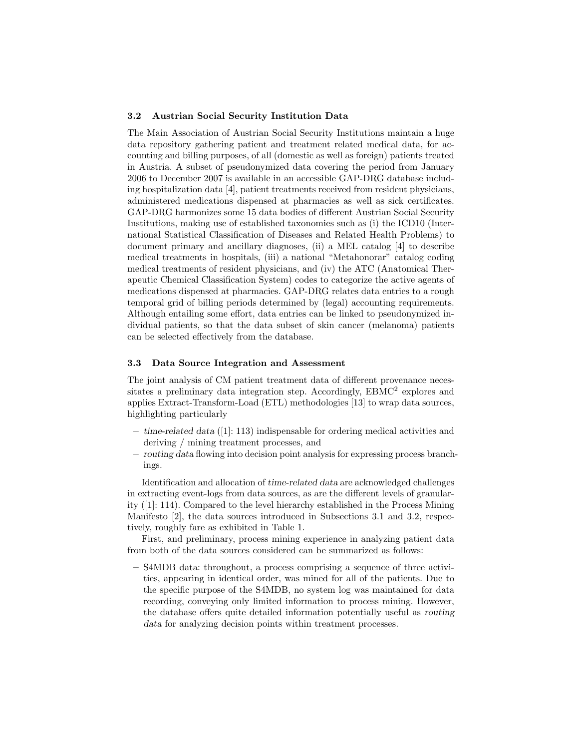### 3.2 Austrian Social Security Institution Data

The Main Association of Austrian Social Security Institutions maintain a huge data repository gathering patient and treatment related medical data, for accounting and billing purposes, of all (domestic as well as foreign) patients treated in Austria. A subset of pseudonymized data covering the period from January 2006 to December 2007 is available in an accessible GAP-DRG database including hospitalization data [\[4\]](#page-15-11), patient treatments received from resident physicians, administered medications dispensed at pharmacies as well as sick certificates. GAP-DRG harmonizes some 15 data bodies of different Austrian Social Security Institutions, making use of established taxonomies such as (i) the ICD10 (International Statistical Classification of Diseases and Related Health Problems) to document primary and ancillary diagnoses, (ii) a MEL catalog [\[4\]](#page-15-11) to describe medical treatments in hospitals, (iii) a national "Metahonorar" catalog coding medical treatments of resident physicians, and (iv) the ATC (Anatomical Therapeutic Chemical Classification System) codes to categorize the active agents of medications dispensed at pharmacies. GAP-DRG relates data entries to a rough temporal grid of billing periods determined by (legal) accounting requirements. Although entailing some effort, data entries can be linked to pseudonymized individual patients, so that the data subset of skin cancer (melanoma) patients can be selected effectively from the database.

### <span id="page-7-0"></span>3.3 Data Source Integration and Assessment

The joint analysis of CM patient treatment data of different provenance necessitates a preliminary data integration step. Accordingly, EBMC<sup>2</sup> explores and applies Extract-Transform-Load (ETL) methodologies [\[13\]](#page-15-12) to wrap data sources, highlighting particularly

- time-related data ([\[1\]](#page-14-2): 113) indispensable for ordering medical activities and deriving / mining treatment processes, and
- routing data flowing into decision point analysis for expressing process branchings.

Identification and allocation of time-related data are acknowledged challenges in extracting event-logs from data sources, as are the different levels of granularity ([\[1\]](#page-14-2): 114). Compared to the level hierarchy established in the Process Mining Manifesto [\[2\]](#page-14-0), the data sources introduced in Subsections 3.1 and 3.2, respectively, roughly fare as exhibited in Table [1.](#page-8-1)

First, and preliminary, process mining experience in analyzing patient data from both of the data sources considered can be summarized as follows:

– S4MDB data: throughout, a process comprising a sequence of three activities, appearing in identical order, was mined for all of the patients. Due to the specific purpose of the S4MDB, no system log was maintained for data recording, conveying only limited information to process mining. However, the database offers quite detailed information potentially useful as routing data for analyzing decision points within treatment processes.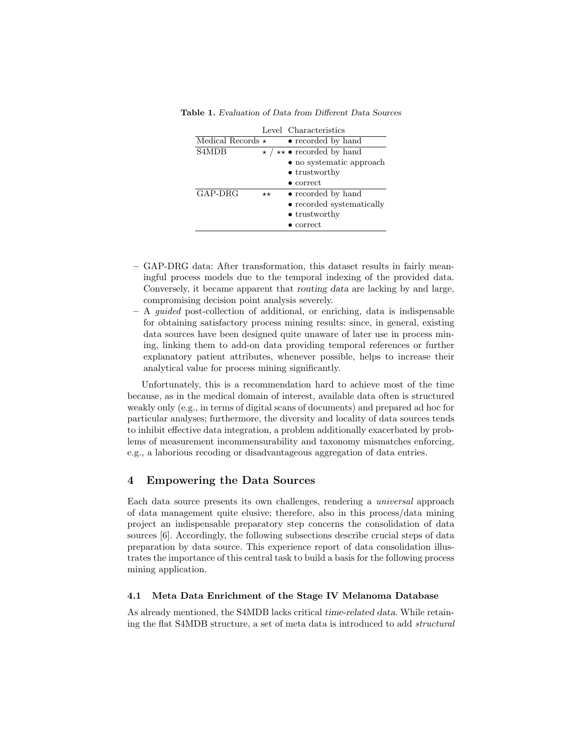<span id="page-8-1"></span>

|                                 |              | Level Characteristics                     |
|---------------------------------|--------------|-------------------------------------------|
| Medical Records $\star$         |              | • recorded by hand                        |
| S <sub>4</sub> M <sub>D</sub> B |              | $\star$ / $\star\star$ • recorded by hand |
|                                 |              | • no systematic approach                  |
|                                 |              | $\bullet$ trustworthy                     |
|                                 |              | $\bullet$ correct                         |
| GAP-DRG                         | $\star\star$ | • recorded by hand                        |
|                                 |              | $\bullet$ recorded systematically         |
|                                 |              | $\bullet$ trustworthy                     |
|                                 |              | $\bullet$ correct                         |

Table 1. Evaluation of Data from Different Data Sources

- GAP-DRG data: After transformation, this dataset results in fairly meaningful process models due to the temporal indexing of the provided data. Conversely, it became apparent that routing data are lacking by and large, compromising decision point analysis severely.
- A guided post-collection of additional, or enriching, data is indispensable for obtaining satisfactory process mining results: since, in general, existing data sources have been designed quite unaware of later use in process mining, linking them to add-on data providing temporal references or further explanatory patient attributes, whenever possible, helps to increase their analytical value for process mining significantly.

Unfortunately, this is a recommendation hard to achieve most of the time because, as in the medical domain of interest, available data often is structured weakly only (e.g., in terms of digital scans of documents) and prepared ad hoc for particular analyses; furthermore, the diversity and locality of data sources tends to inhibit effective data integration, a problem additionally exacerbated by problems of measurement incommensurability and taxonomy mismatches enforcing, e.g., a laborious recoding or disadvantageous aggregation of data entries.

# <span id="page-8-0"></span>4 Empowering the Data Sources

Each data source presents its own challenges, rendering a universal approach of data management quite elusive; therefore, also in this process/data mining project an indispensable preparatory step concerns the consolidation of data sources [\[6\]](#page-15-13). Accordingly, the following subsections describe crucial steps of data preparation by data source. This experience report of data consolidation illustrates the importance of this central task to build a basis for the following process mining application.

# 4.1 Meta Data Enrichment of the Stage IV Melanoma Database

As already mentioned, the S4MDB lacks critical time-related data. While retaining the flat S4MDB structure, a set of meta data is introduced to add structural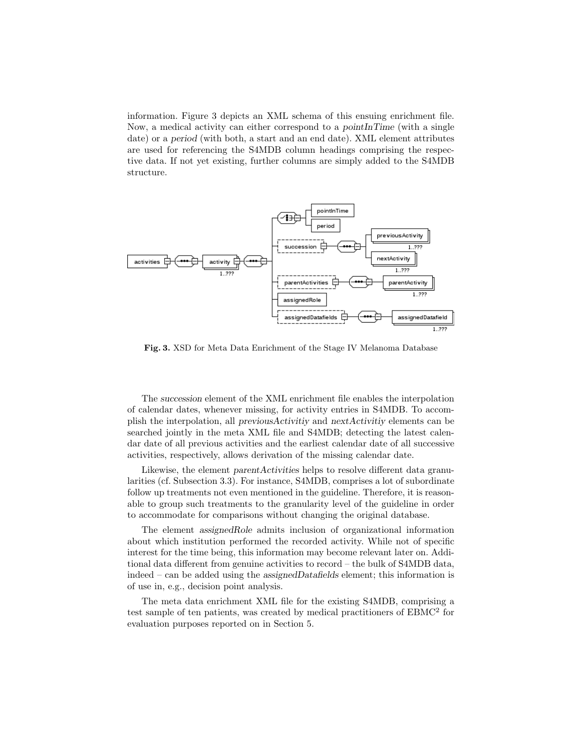information. Figure [3](#page-9-0) depicts an XML schema of this ensuing enrichment file. Now, a medical activity can either correspond to a point $InTime$  (with a single date) or a period (with both, a start and an end date). XML element attributes are used for referencing the S4MDB column headings comprising the respective data. If not yet existing, further columns are simply added to the S4MDB structure.



<span id="page-9-0"></span>Fig. 3. XSD for Meta Data Enrichment of the Stage IV Melanoma Database

The succession element of the XML enrichment file enables the interpolation of calendar dates, whenever missing, for activity entries in S4MDB. To accomplish the interpolation, all previousActivitiy and nextActivitiy elements can be searched jointly in the meta XML file and S4MDB; detecting the latest calendar date of all previous activities and the earliest calendar date of all successive activities, respectively, allows derivation of the missing calendar date.

Likewise, the element *parentActivities* helps to resolve different data granularities (cf. Subsection [3.3\)](#page-7-0). For instance, S4MDB, comprises a lot of subordinate follow up treatments not even mentioned in the guideline. Therefore, it is reasonable to group such treatments to the granularity level of the guideline in order to accommodate for comparisons without changing the original database.

The element assignedRole admits inclusion of organizational information about which institution performed the recorded activity. While not of specific interest for the time being, this information may become relevant later on. Additional data different from genuine activities to record – the bulk of S4MDB data, indeed – can be added using the assignedDatafields element; this information is of use in, e.g., decision point analysis.

The meta data enrichment XML file for the existing S4MDB, comprising a test sample of ten patients, was created by medical practitioners of EBMC<sup>2</sup> for evaluation purposes reported on in Section [5.](#page-12-0)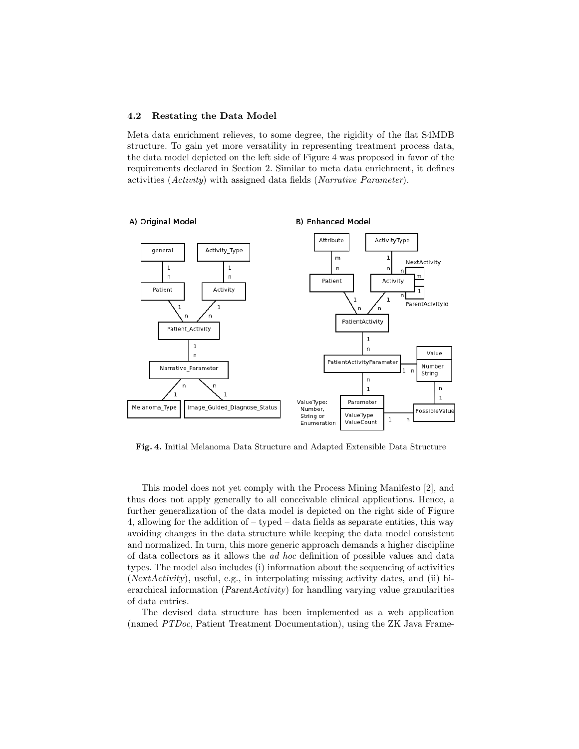### 4.2 Restating the Data Model

Meta data enrichment relieves, to some degree, the rigidity of the flat S4MDB structure. To gain yet more versatility in representing treatment process data, the data model depicted on the left side of Figure [4](#page-10-0) was proposed in favor of the requirements declared in Section [2.](#page-1-0) Similar to meta data enrichment, it defines activities (Activity) with assigned data fields (Narrative Parameter).

### A) Original Model

B) Enhanced Model



<span id="page-10-0"></span>Fig. 4. Initial Melanoma Data Structure and Adapted Extensible Data Structure

This model does not yet comply with the Process Mining Manifesto [\[2\]](#page-14-0), and thus does not apply generally to all conceivable clinical applications. Hence, a further generalization of the data model is depicted on the right side of Figure [4,](#page-10-0) allowing for the addition of – typed – data fields as separate entities, this way avoiding changes in the data structure while keeping the data model consistent and normalized. In turn, this more generic approach demands a higher discipline of data collectors as it allows the ad hoc definition of possible values and data types. The model also includes (i) information about the sequencing of activities (NextActivity), useful, e.g., in interpolating missing activity dates, and (ii) hierarchical information (ParentActivity) for handling varying value granularities of data entries.

The devised data structure has been implemented as a web application (named PTDoc, Patient Treatment Documentation), using the ZK Java Frame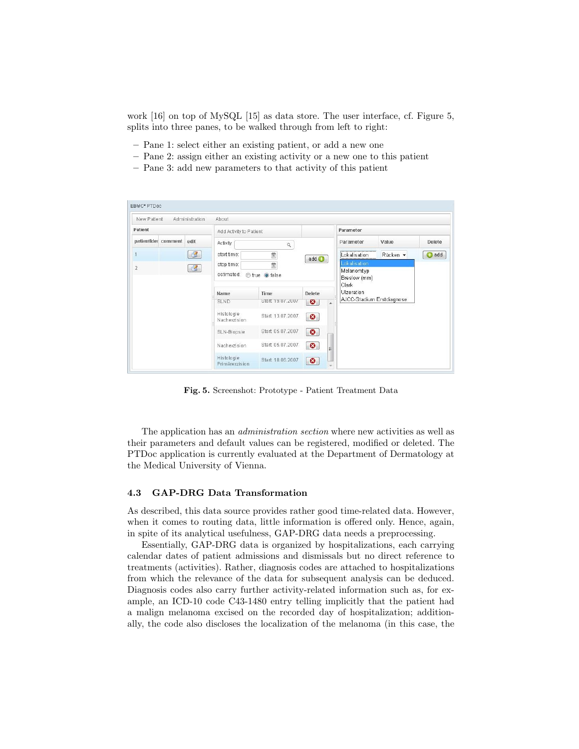work [\[16\]](#page-15-14) on top of MySQL [\[15\]](#page-15-15) as data store. The user interface, cf. Figure [5,](#page-11-0) splits into three panes, to be walked through from left to right:

- Pane 1: select either an existing patient, or add a new one
- Pane 2: assign either an existing activity or a new one to this patient
- Pane 3: add new parameters to that activity of this patient

| New Patient                 |  | Administration          | About                             |                                             |              |               |                            |          |     |
|-----------------------------|--|-------------------------|-----------------------------------|---------------------------------------------|--------------|---------------|----------------------------|----------|-----|
| Patient                     |  | Add Activity to Patient |                                   |                                             |              | Parameter     |                            |          |     |
| patientIder comment<br>edit |  | Activity:<br>$\alpha$   |                                   |                                             |              | Parameter     | <b>Value</b>               | Delete   |     |
|                             |  | $\mathbf{B}$            | start time:                       | $\frac{\partial \Phi}{\partial \mathbf{1}}$ | add <b>O</b> |               | Lokalisation               | Rücken - | add |
| $\overline{2}$              |  | $\vert$                 | 勯<br>stop time:                   |                                             |              |               | Lokalisation<br>Melanomtyp |          |     |
|                             |  |                         | estimated:<br>true <b>o</b> false |                                             |              | Breslow (mm)  |                            |          |     |
|                             |  |                         | Name                              | Time                                        | Delete       |               | Clark<br>Ulzeration        |          |     |
|                             |  |                         | <b>SLND</b>                       | STATE 19.07.2007                            | $\bullet$    | $\Delta$      | AJCC-Stadium Erstdiagnose  |          |     |
|                             |  |                         | Histologie<br>Nachexzision        | Start: 13.07.2007                           | o            |               |                            |          |     |
|                             |  |                         | SLN-Biopsie                       | Start: 05.07.2007                           | $\bullet$    |               |                            |          |     |
|                             |  |                         | Nachexzision                      | Start: 05.07.2007                           | $\bullet$    | 티             |                            |          |     |
|                             |  |                         | Histologie<br>Primärexzision      | Start: 18.06.2007                           | $\bullet$    | $\rightarrow$ |                            |          |     |

<span id="page-11-0"></span>Fig. 5. Screenshot: Prototype - Patient Treatment Data

The application has an *administration section* where new activities as well as their parameters and default values can be registered, modified or deleted. The PTDoc application is currently evaluated at the Department of Dermatology at the Medical University of Vienna.

### 4.3 GAP-DRG Data Transformation

As described, this data source provides rather good time-related data. However, when it comes to routing data, little information is offered only. Hence, again, in spite of its analytical usefulness, GAP-DRG data needs a preprocessing.

Essentially, GAP-DRG data is organized by hospitalizations, each carrying calendar dates of patient admissions and dismissals but no direct reference to treatments (activities). Rather, diagnosis codes are attached to hospitalizations from which the relevance of the data for subsequent analysis can be deduced. Diagnosis codes also carry further activity-related information such as, for example, an ICD-10 code C43-1480 entry telling implicitly that the patient had a malign melanoma excised on the recorded day of hospitalization; additionally, the code also discloses the localization of the melanoma (in this case, the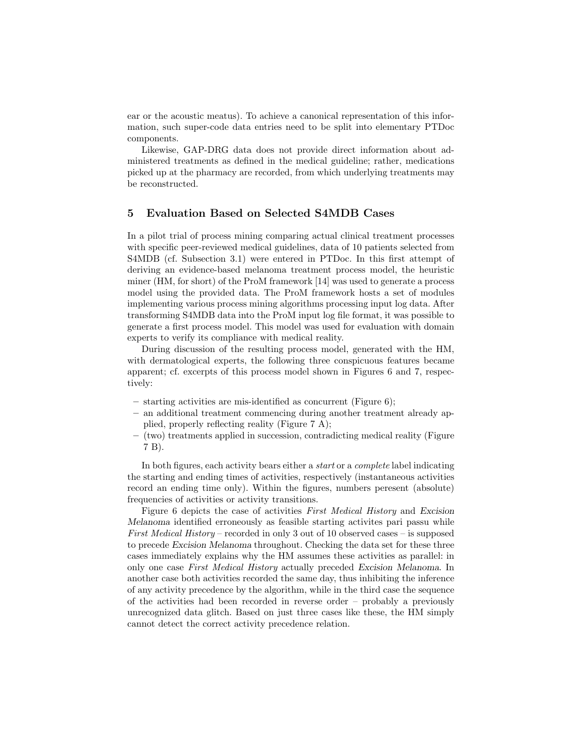ear or the acoustic meatus). To achieve a canonical representation of this information, such super-code data entries need to be split into elementary PTDoc components.

Likewise, GAP-DRG data does not provide direct information about administered treatments as defined in the medical guideline; rather, medications picked up at the pharmacy are recorded, from which underlying treatments may be reconstructed.

# <span id="page-12-0"></span>5 Evaluation Based on Selected S4MDB Cases

In a pilot trial of process mining comparing actual clinical treatment processes with specific peer-reviewed medical guidelines, data of 10 patients selected from S4MDB (cf. Subsection [3.1\)](#page-6-1) were entered in PTDoc. In this first attempt of deriving an evidence-based melanoma treatment process model, the heuristic miner (HM, for short) of the ProM framework [\[14\]](#page-15-1) was used to generate a process model using the provided data. The ProM framework hosts a set of modules implementing various process mining algorithms processing input log data. After transforming S4MDB data into the ProM input log file format, it was possible to generate a first process model. This model was used for evaluation with domain experts to verify its compliance with medical reality.

During discussion of the resulting process model, generated with the HM, with dermatological experts, the following three conspicuous features became apparent; cf. excerpts of this process model shown in Figures [6](#page-13-0) and [7,](#page-14-4) respectively:

- starting activities are mis-identified as concurrent (Figure [6\)](#page-13-0);
- an additional treatment commencing during another treatment already applied, properly reflecting reality (Figure [7](#page-14-4) A);
- (two) treatments applied in succession, contradicting medical reality (Figure [7](#page-14-4) B).

In both figures, each activity bears either a start or a complete label indicating the starting and ending times of activities, respectively (instantaneous activities record an ending time only). Within the figures, numbers peresent (absolute) frequencies of activities or activity transitions.

Figure [6](#page-13-0) depicts the case of activities First Medical History and Excision Melanoma identified erroneously as feasible starting activites pari passu while First Medical History – recorded in only 3 out of 10 observed cases – is supposed to precede Excision Melanoma throughout. Checking the data set for these three cases immediately explains why the HM assumes these activities as parallel: in only one case First Medical History actually preceded Excision Melanoma. In another case both activities recorded the same day, thus inhibiting the inference of any activity precedence by the algorithm, while in the third case the sequence of the activities had been recorded in reverse order – probably a previously unrecognized data glitch. Based on just three cases like these, the HM simply cannot detect the correct activity precedence relation.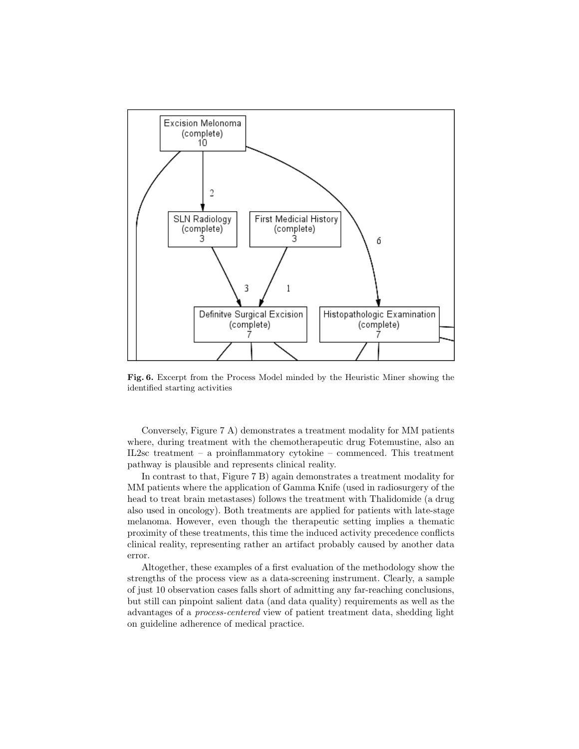

<span id="page-13-0"></span>Fig. 6. Excerpt from the Process Model minded by the Heuristic Miner showing the identified starting activities

Conversely, Figure [7](#page-14-4) A) demonstrates a treatment modality for MM patients where, during treatment with the chemotherapeutic drug Fotemustine, also an IL2sc treatment – a proinflammatory cytokine – commenced. This treatment pathway is plausible and represents clinical reality.

In contrast to that, Figure [7](#page-14-4) B) again demonstrates a treatment modality for MM patients where the application of Gamma Knife (used in radiosurgery of the head to treat brain metastases) follows the treatment with Thalidomide (a drug also used in oncology). Both treatments are applied for patients with late-stage melanoma. However, even though the therapeutic setting implies a thematic proximity of these treatments, this time the induced activity precedence conflicts clinical reality, representing rather an artifact probably caused by another data error.

Altogether, these examples of a first evaluation of the methodology show the strengths of the process view as a data-screening instrument. Clearly, a sample of just 10 observation cases falls short of admitting any far-reaching conclusions, but still can pinpoint salient data (and data quality) requirements as well as the advantages of a process-centered view of patient treatment data, shedding light on guideline adherence of medical practice.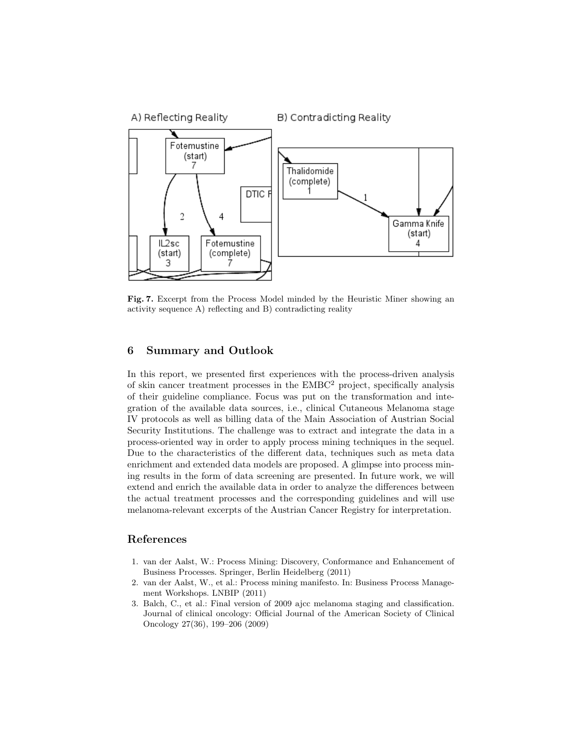

<span id="page-14-4"></span>Fig. 7. Excerpt from the Process Model minded by the Heuristic Miner showing an activity sequence A) reflecting and B) contradicting reality

# <span id="page-14-1"></span>6 Summary and Outlook

In this report, we presented first experiences with the process-driven analysis of skin cancer treatment processes in the EMBC<sup>2</sup> project, specifically analysis of their guideline compliance. Focus was put on the transformation and integration of the available data sources, i.e., clinical Cutaneous Melanoma stage IV protocols as well as billing data of the Main Association of Austrian Social Security Institutions. The challenge was to extract and integrate the data in a process-oriented way in order to apply process mining techniques in the sequel. Due to the characteristics of the different data, techniques such as meta data enrichment and extended data models are proposed. A glimpse into process mining results in the form of data screening are presented. In future work, we will extend and enrich the available data in order to analyze the differences between the actual treatment processes and the corresponding guidelines and will use melanoma-relevant excerpts of the Austrian Cancer Registry for interpretation.

### References

- <span id="page-14-2"></span>1. van der Aalst, W.: Process Mining: Discovery, Conformance and Enhancement of Business Processes. Springer, Berlin Heidelberg (2011)
- <span id="page-14-0"></span>2. van der Aalst, W., et al.: Process mining manifesto. In: Business Process Management Workshops. LNBIP (2011)
- <span id="page-14-3"></span>3. Balch, C., et al.: Final version of 2009 ajcc melanoma staging and classification. Journal of clinical oncology: Official Journal of the American Society of Clinical Oncology 27(36), 199–206 (2009)